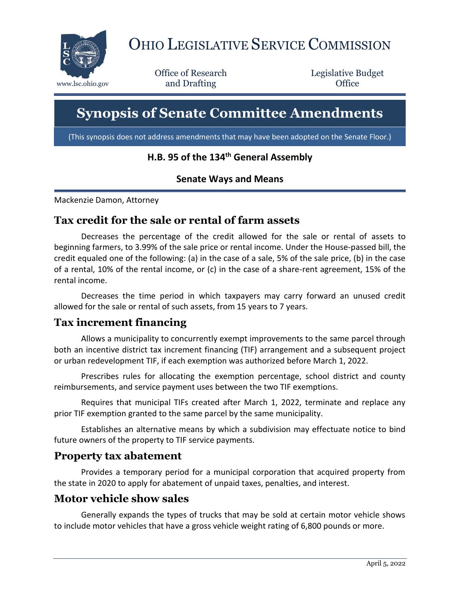

# OHIO LEGISLATIVE SERVICE COMMISSION

Office of Research www.lsc.ohio.gov **and Drafting Office** 

Legislative Budget

## **Synopsis of Senate Committee Amendments**

(This synopsis does not address amendments that may have been adopted on the Senate Floor.)

#### **H.B. 95 of the 134th General Assembly**

#### **Senate Ways and Means**

Mackenzie Damon, Attorney

#### **Tax credit for the sale or rental of farm assets**

Decreases the percentage of the credit allowed for the sale or rental of assets to beginning farmers, to 3.99% of the sale price or rental income. Under the House-passed bill, the credit equaled one of the following: (a) in the case of a sale, 5% of the sale price, (b) in the case of a rental, 10% of the rental income, or (c) in the case of a share-rent agreement, 15% of the rental income.

Decreases the time period in which taxpayers may carry forward an unused credit allowed for the sale or rental of such assets, from 15 years to 7 years.

#### **Tax increment financing**

Allows a municipality to concurrently exempt improvements to the same parcel through both an incentive district tax increment financing (TIF) arrangement and a subsequent project or urban redevelopment TIF, if each exemption was authorized before March 1, 2022.

Prescribes rules for allocating the exemption percentage, school district and county reimbursements, and service payment uses between the two TIF exemptions.

Requires that municipal TIFs created after March 1, 2022, terminate and replace any prior TIF exemption granted to the same parcel by the same municipality.

Establishes an alternative means by which a subdivision may effectuate notice to bind future owners of the property to TIF service payments.

#### **Property tax abatement**

Provides a temporary period for a municipal corporation that acquired property from the state in 2020 to apply for abatement of unpaid taxes, penalties, and interest.

#### **Motor vehicle show sales**

Generally expands the types of trucks that may be sold at certain motor vehicle shows to include motor vehicles that have a gross vehicle weight rating of 6,800 pounds or more.